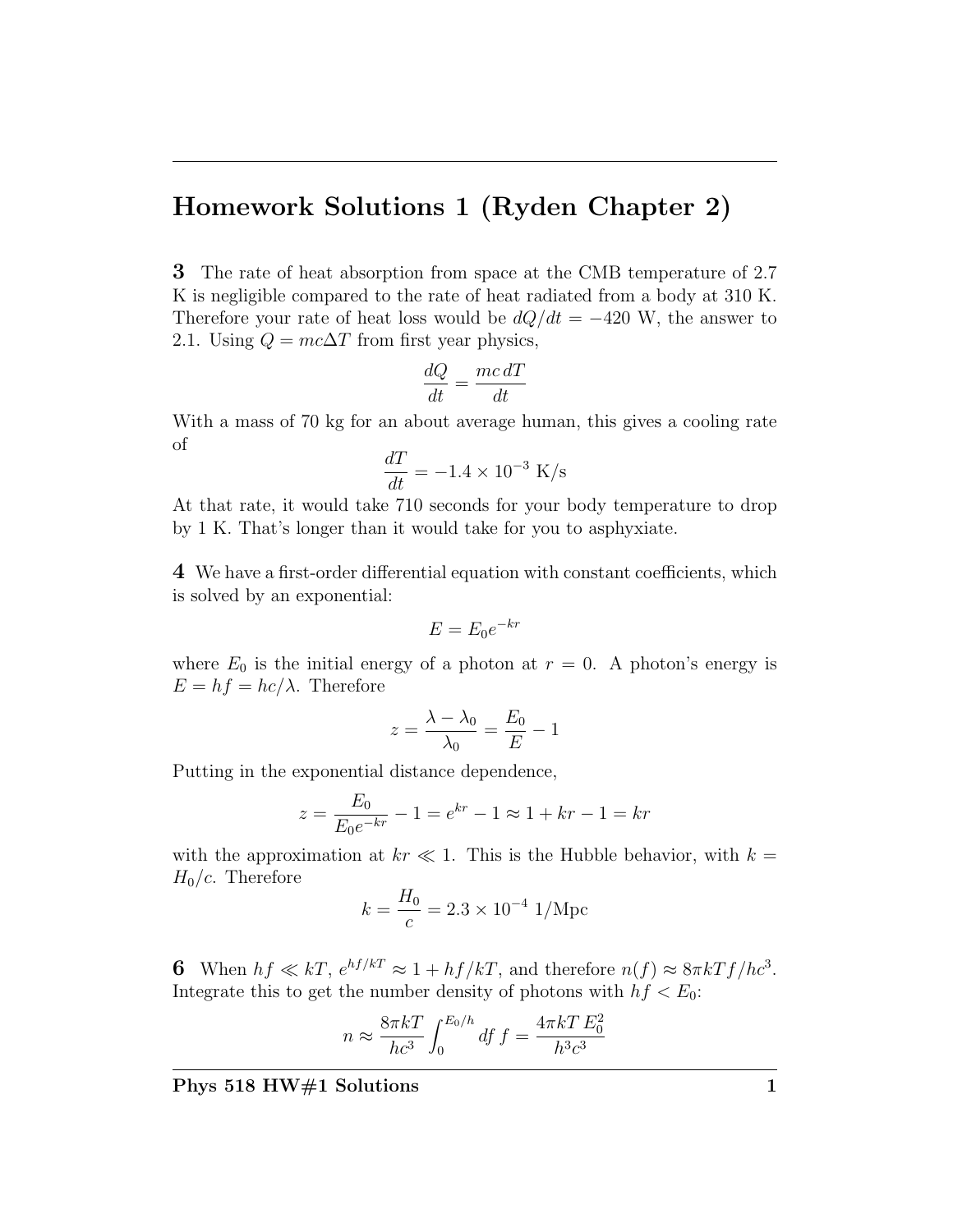## Homework Solutions 1 (Ryden Chapter 2)

3 The rate of heat absorption from space at the CMB temperature of 2.7 K is negligible compared to the rate of heat radiated from a body at 310 K. Therefore your rate of heat loss would be  $dQ/dt = -420$  W, the answer to 2.1. Using  $Q = mc\Delta T$  from first year physics,

$$
\frac{dQ}{dt} = \frac{mc \, dT}{dt}
$$

With a mass of 70 kg for an about average human, this gives a cooling rate of

$$
\frac{dT}{dt} = -1.4 \times 10^{-3} \text{ K/s}
$$

At that rate, it would take 710 seconds for your body temperature to drop by 1 K. That's longer than it would take for you to asphyxiate.

4 We have a first-order differential equation with constant coefficients, which is solved by an exponential:

$$
E = E_0 e^{-kr}
$$

where  $E_0$  is the initial energy of a photon at  $r = 0$ . A photon's energy is  $E = hf = hc/\lambda$ . Therefore

$$
z = \frac{\lambda - \lambda_0}{\lambda_0} = \frac{E_0}{E} - 1
$$

Putting in the exponential distance dependence,

$$
z = \frac{E_0}{E_0 e^{-kr}} - 1 = e^{kr} - 1 \approx 1 + kr - 1 = kr
$$

with the approximation at  $kr \ll 1$ . This is the Hubble behavior, with  $k =$  $H_0/c$ . Therefore

$$
k = \frac{H_0}{c} = 2.3 \times 10^{-4} \text{ 1/Mpc}
$$

6 When  $hf \ll kT$ ,  $e^{hf/kT} \approx 1 + hf/kT$ , and therefore  $n(f) \approx 8\pi kTf/hc^3$ . Integrate this to get the number density of photons with  $hf < E_0$ :

$$
n \approx \frac{8\pi kT}{hc^3} \int_0^{E_0/h} df f = \frac{4\pi kT E_0^2}{h^3 c^3}
$$

Phys 518 HW#1 Solutions 1